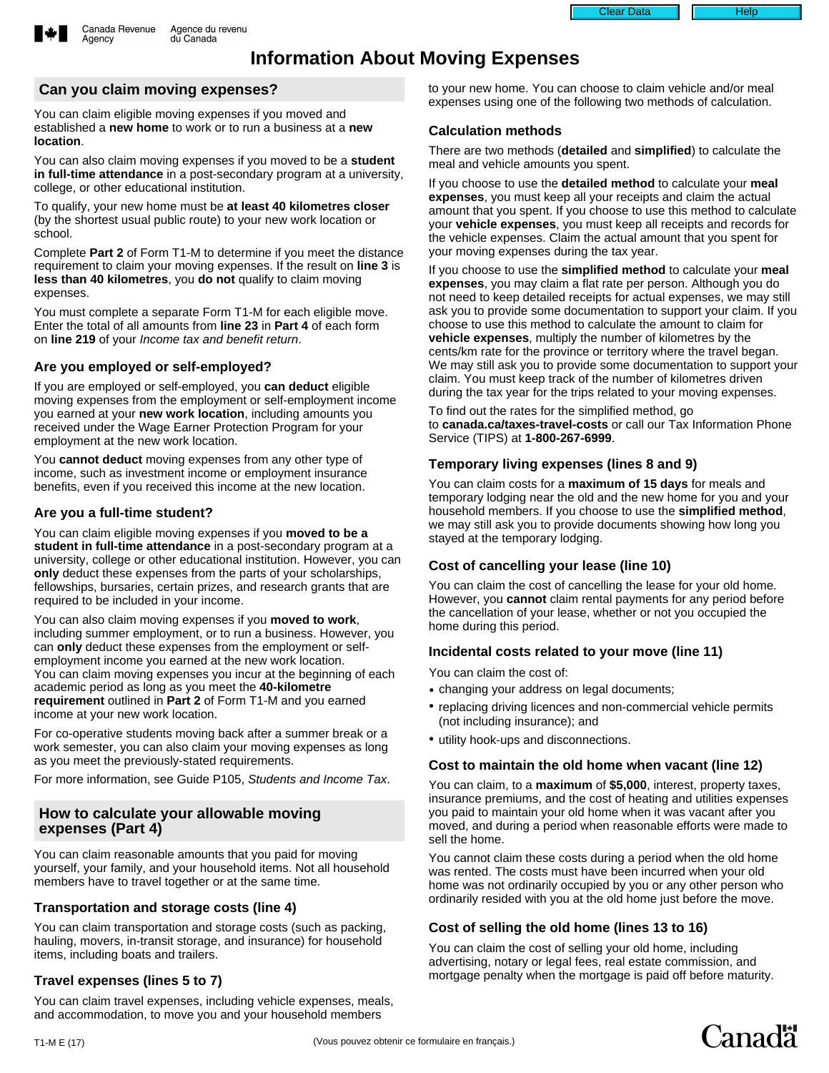

Agency

# **Information About Moving Expenses**

### **Can you claim moving expenses?**

You can claim eligible moving expenses if you moved and established a **new home** to work or to run a business at a **new location**.

You can also claim moving expenses if you moved to be a **student in full-time attendance** in a post-secondary program at a university, college, or other educational institution.

To qualify, your new home must be **at least 40 kilometres closer** (by the shortest usual public route) to your new work location or school.

Complete **Part 2** of Form T1-M to determine if you meet the distance requirement to claim your moving expenses. If the result on **line 3** is **less than 40 kilometres**, you **do not** qualify to claim moving expenses.

You must complete a separate Form T1-M for each eligible move. Enter the total of all amounts from **line 23** in **Part 4** of each form on **line 219** of your Income tax and benefit return.

### **Are you employed or self-employed?**

If you are employed or self-employed, you **can deduct** eligible moving expenses from the employment or self-employment income you earned at your **new work location**, including amounts you received under the Wage Earner Protection Program for your employment at the new work location.

You **cannot deduct** moving expenses from any other type of income, such as investment income or employment insurance benefits, even if you received this income at the new location.

### **Are you a full-time student?**

You can claim eligible moving expenses if you **moved to be a student in full-time attendance** in a post-secondary program at a university, college or other educational institution. However, you can **only** deduct these expenses from the parts of your scholarships, fellowships, bursaries, certain prizes, and research grants that are required to be included in your income.

You can also claim moving expenses if you **moved to work**, including summer employment, or to run a business. However, you can **only** deduct these expenses from the employment or selfemployment income you earned at the new work location. You can claim moving expenses you incur at the beginning of each academic period as long as you meet the **40-kilometre requirement** outlined in **Part 2** of Form T1-M and you earned income at your new work location.

For co-operative students moving back after a summer break or a work semester, you can also claim your moving expenses as long as you meet the previously-stated requirements.

For more information, see Guide P105, Students and Income Tax.

#### **How to calculate your allowable moving expenses (Part 4)**

You can claim reasonable amounts that you paid for moving yourself, your family, and your household items. Not all household members have to travel together or at the same time.

#### **Transportation and storage costs (line 4)**

You can claim transportation and storage costs (such as packing, hauling, movers, in-transit storage, and insurance) for household items, including boats and trailers.

### **Travel expenses (lines 5 to 7)**

You can claim travel expenses, including vehicle expenses, meals, and accommodation, to move you and your household members

to your new home. You can choose to claim vehicle and/or meal expenses using one of the following two methods of calculation.

### **Calculation methods**

There are two methods (**detailed** and **simplified**) to calculate the meal and vehicle amounts you spent.

If you choose to use the **detailed method** to calculate your **meal expenses**, you must keep all your receipts and claim the actual amount that you spent. If you choose to use this method to calculate your **vehicle expenses**, you must keep all receipts and records for the vehicle expenses. Claim the actual amount that you spent for your moving expenses during the tax year.

If you choose to use the **simplified method** to calculate your **meal expenses**, you may claim a flat rate per person. Although you do not need to keep detailed receipts for actual expenses, we may still ask you to provide some documentation to support your claim. If you choose to use this method to calculate the amount to claim for **vehicle expenses**, multiply the number of kilometres by the cents/km rate for the province or territory where the travel began. We may still ask you to provide some documentation to support your claim. You must keep track of the number of kilometres driven during the tax year for the trips related to your moving expenses.

To find out the rates for the simplified method, go to **canada.ca/taxes-travel-costs** or call our Tax Information Phone Service (TIPS) at **1-800-267-6999**.

### **Temporary living expenses (lines 8 and 9)**

You can claim costs for a **maximum of 15 days** for meals and temporary lodging near the old and the new home for you and your household members. If you choose to use the **simplified method**, we may still ask you to provide documents showing how long you stayed at the temporary lodging.

### **Cost of cancelling your lease (line 10)**

You can claim the cost of cancelling the lease for your old home. However, you **cannot** claim rental payments for any period before the cancellation of your lease, whether or not you occupied the home during this period.

### **Incidental costs related to your move (line 11)**

You can claim the cost of:

- changing your address on legal documents;
- replacing driving licences and non-commercial vehicle permits (not including insurance); and
- utility hook-ups and disconnections.

### **Cost to maintain the old home when vacant (line 12)**

You can claim, to a **maximum** of **\$5,000**, interest, property taxes, insurance premiums, and the cost of heating and utilities expenses you paid to maintain your old home when it was vacant after you moved, and during a period when reasonable efforts were made to sell the home.

You cannot claim these costs during a period when the old home was rented. The costs must have been incurred when your old home was not ordinarily occupied by you or any other person who ordinarily resided with you at the old home just before the move.

### **Cost of selling the old home (lines 13 to 16)**

You can claim the cost of selling your old home, including advertising, notary or legal fees, real estate commission, and mortgage penalty when the mortgage is paid off before maturity.

Canadä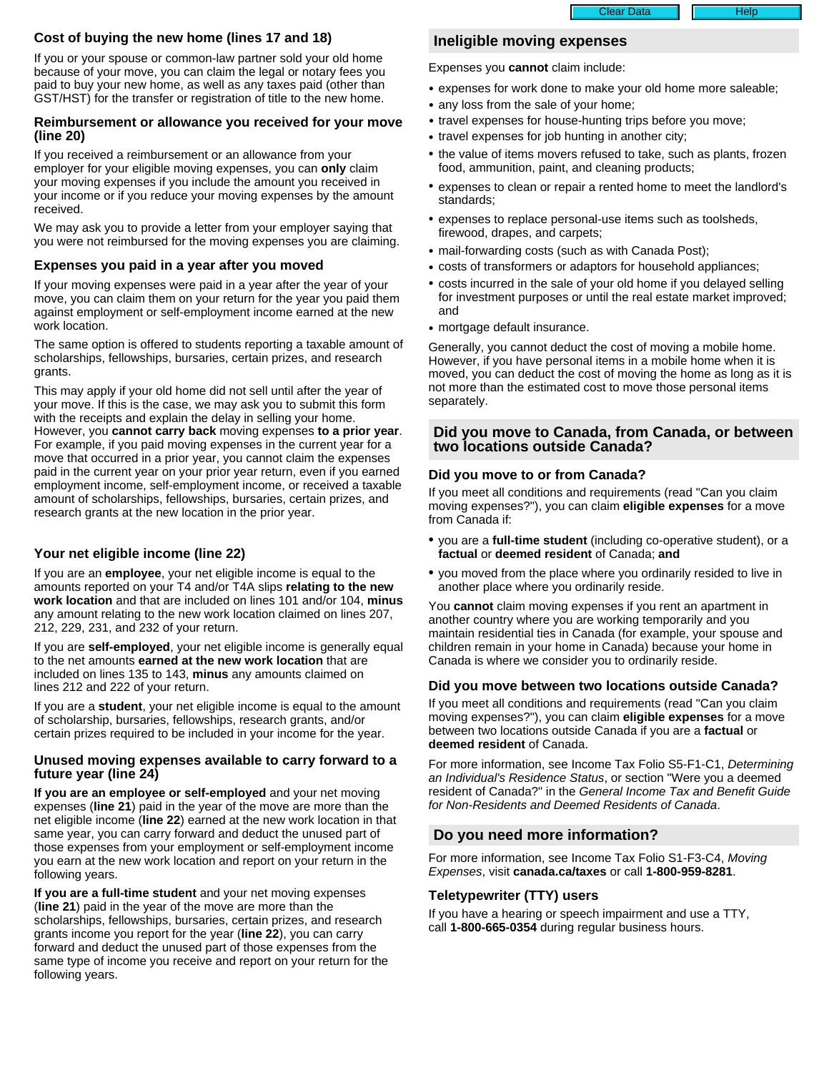#### Clear Data **Help** Help

### **Cost of buying the new home (lines 17 and 18)**

If you or your spouse or common-law partner sold your old home because of your move, you can claim the legal or notary fees you paid to buy your new home, as well as any taxes paid (other than GST/HST) for the transfer or registration of title to the new home.

#### **Reimbursement or allowance you received for your move (line 20)**

If you received a reimbursement or an allowance from your employer for your eligible moving expenses, you can **only** claim your moving expenses if you include the amount you received in your income or if you reduce your moving expenses by the amount received.

We may ask you to provide a letter from your employer saying that you were not reimbursed for the moving expenses you are claiming.

### **Expenses you paid in a year after you moved**

If your moving expenses were paid in a year after the year of your move, you can claim them on your return for the year you paid them against employment or self-employment income earned at the new work location.

The same option is offered to students reporting a taxable amount of scholarships, fellowships, bursaries, certain prizes, and research grants.

This may apply if your old home did not sell until after the year of your move. If this is the case, we may ask you to submit this form with the receipts and explain the delay in selling your home. However, you **cannot carry back** moving expenses **to a prior year**. For example, if you paid moving expenses in the current year for a move that occurred in a prior year, you cannot claim the expenses paid in the current year on your prior year return, even if you earned employment income, self-employment income, or received a taxable amount of scholarships, fellowships, bursaries, certain prizes, and research grants at the new location in the prior year.

### **Your net eligible income (line 22)**

If you are an **employee**, your net eligible income is equal to the amounts reported on your T4 and/or T4A slips **relating to the new work location** and that are included on lines 101 and/or 104, **minus** any amount relating to the new work location claimed on lines 207, 212, 229, 231, and 232 of your return.

If you are **self-employed**, your net eligible income is generally equal to the net amounts **earned at the new work location** that are included on lines 135 to 143, **minus** any amounts claimed on lines 212 and 222 of your return.

If you are a **student**, your net eligible income is equal to the amount of scholarship, bursaries, fellowships, research grants, and/or certain prizes required to be included in your income for the year.

### **Unused moving expenses available to carry forward to a future year (line 24)**

**If you are an employee or self-employed** and your net moving expenses (**line 21**) paid in the year of the move are more than the net eligible income (**line 22**) earned at the new work location in that same year, you can carry forward and deduct the unused part of those expenses from your employment or self-employment income you earn at the new work location and report on your return in the following years.

**If you are a full-time student** and your net moving expenses (**line 21**) paid in the year of the move are more than the scholarships, fellowships, bursaries, certain prizes, and research grants income you report for the year (**line 22**), you can carry forward and deduct the unused part of those expenses from the same type of income you receive and report on your return for the following years.

## **Ineligible moving expenses**

Expenses you **cannot** claim include:

- expenses for work done to make your old home more saleable;
- any loss from the sale of your home;
- travel expenses for house-hunting trips before you move;
- travel expenses for job hunting in another city;
- the value of items movers refused to take, such as plants, frozen food, ammunition, paint, and cleaning products;
- expenses to clean or repair a rented home to meet the landlord's standards;
- expenses to replace personal-use items such as toolsheds, firewood, drapes, and carpets;
- mail-forwarding costs (such as with Canada Post);
- costs of transformers or adaptors for household appliances;
- costs incurred in the sale of your old home if you delayed selling for investment purposes or until the real estate market improved; and
- mortgage default insurance.

Generally, you cannot deduct the cost of moving a mobile home. However, if you have personal items in a mobile home when it is moved, you can deduct the cost of moving the home as long as it is not more than the estimated cost to move those personal items separately.

### **Did you move to Canada, from Canada, or between two locations outside Canada?**

### **Did you move to or from Canada?**

If you meet all conditions and requirements (read "Can you claim moving expenses?"), you can claim **eligible expenses** for a move from Canada if:

- you are a **full-time student** (including co-operative student), or a **factual** or **deemed resident** of Canada; **and**
- you moved from the place where you ordinarily resided to live in another place where you ordinarily reside.

You **cannot** claim moving expenses if you rent an apartment in another country where you are working temporarily and you maintain residential ties in Canada (for example, your spouse and children remain in your home in Canada) because your home in Canada is where we consider you to ordinarily reside.

### **Did you move between two locations outside Canada?**

If you meet all conditions and requirements (read "Can you claim moving expenses?"), you can claim **eligible expenses** for a move between two locations outside Canada if you are a **factual** or **deemed resident** of Canada.

For more information, see Income Tax Folio S5-F1-C1, Determining an Individual's Residence Status, or section "Were you a deemed resident of Canada?" in the General Income Tax and Benefit Guide for Non-Residents and Deemed Residents of Canada.

### **Do you need more information?**

For more information, see Income Tax Folio S1-F3-C4, Moving Expenses, visit **canada.ca/taxes** or call **1-800-959-8281**.

#### **Teletypewriter (TTY) users**

If you have a hearing or speech impairment and use a TTY, call **1-800-665-0354** during regular business hours.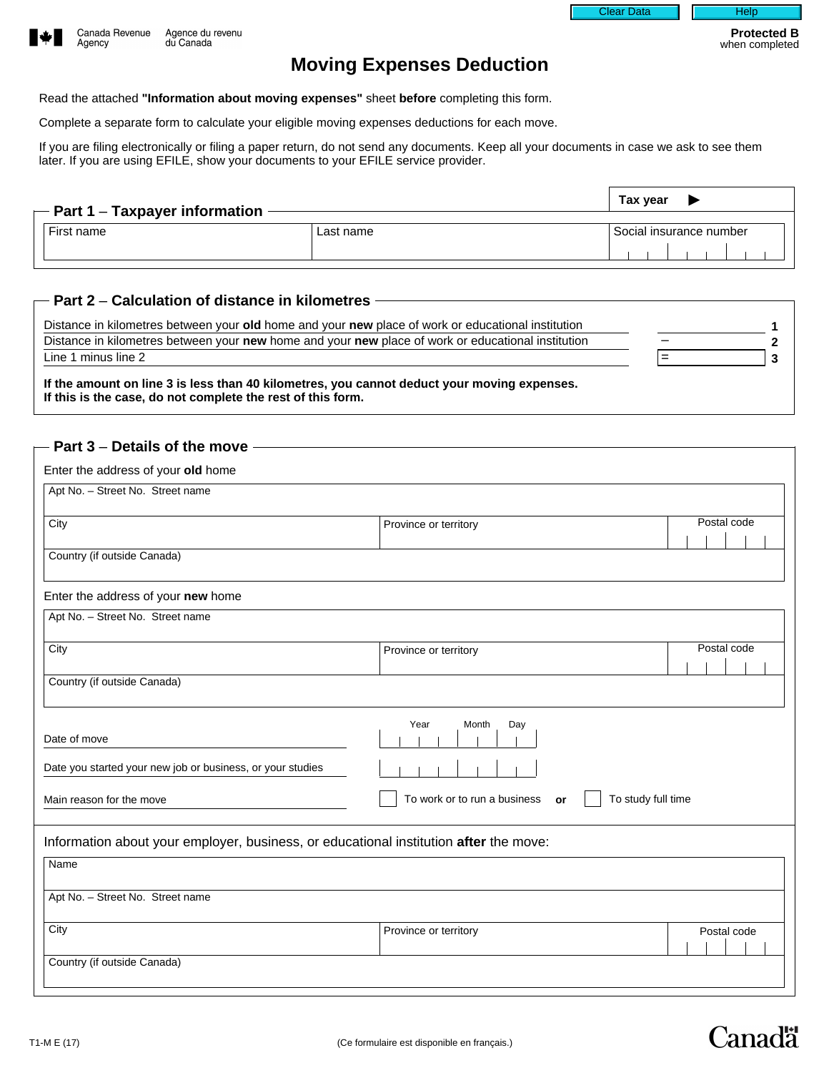



# **Moving Expenses Deduction**

Read the attached **"Information about moving expenses"** sheet **before** completing this form.

Complete a separate form to calculate your eligible moving expenses deductions for each move.

If you are filing electronically or filing a paper return, do not send any documents. Keep all your documents in case we ask to see them later. If you are using EFILE, show your documents to your EFILE service provider.

| $-$ Part 1 – Taxpayer information |           |                         | Tax year |  |  |  |  |  |  |  |  |
|-----------------------------------|-----------|-------------------------|----------|--|--|--|--|--|--|--|--|
| First name                        | Last name | Social insurance number |          |  |  |  |  |  |  |  |  |
|                                   |           |                         |          |  |  |  |  |  |  |  |  |

### **Part 2** – **Calculation of distance in kilometres**

| Distance in kilometres between your old home and your new place of work or educational institution |   |  |
|----------------------------------------------------------------------------------------------------|---|--|
| Distance in kilometres between your new home and your new place of work or educational institution |   |  |
| Line 1 minus line 2                                                                                | = |  |
| If the amount on line 3 is loss than 40 kilometres, you cannot deduct your moving expenses         |   |  |

**If the amount on line 3 is less than 40 kilometres, you cannot deduct your moving expenses. If this is the case, do not complete the rest of this form.**

| Enter the address of your old home                                                    |                                    |                                         |
|---------------------------------------------------------------------------------------|------------------------------------|-----------------------------------------|
| Apt No. - Street No. Street name                                                      |                                    |                                         |
| City                                                                                  | Province or territory              | Postal code<br>$\blacktriangleright$    |
| Country (if outside Canada)                                                           |                                    |                                         |
| Enter the address of your new home                                                    |                                    |                                         |
| Apt No. - Street No. Street name                                                      |                                    |                                         |
| City                                                                                  | Province or territory              | Postal code<br>$\blacktriangledown$     |
| Country (if outside Canada)                                                           |                                    |                                         |
| Date of move                                                                          | Year<br>Month<br>Day               |                                         |
| Date you started your new job or business, or your studies                            |                                    |                                         |
| Main reason for the move                                                              | To work or to run a business<br>or | To study full time                      |
| Information about your employer, business, or educational institution after the move: |                                    |                                         |
| Name                                                                                  |                                    |                                         |
| Apt No. - Street No. Street name                                                      |                                    |                                         |
| City                                                                                  | Province or territory              | Postal code<br>$\overline{\phantom{a}}$ |
| Country (if outside Canada)                                                           |                                    |                                         |

Canadä